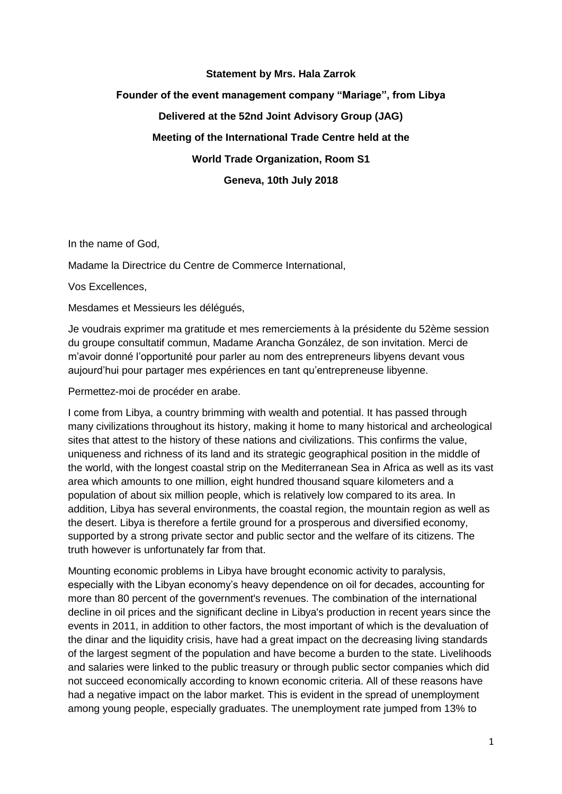## **Statement by Mrs. Hala Zarrok Founder of the event management company "Mariage", from Libya Delivered at the 52nd Joint Advisory Group (JAG) Meeting of the International Trade Centre held at the World Trade Organization, Room S1 Geneva, 10th July 2018**

In the name of God,

Madame la Directrice du Centre de Commerce International,

Vos Excellences,

Mesdames et Messieurs les délégués,

Je voudrais exprimer ma gratitude et mes remerciements à la présidente du 52ème session du groupe consultatif commun, Madame Arancha González, de son invitation. Merci de m'avoir donné l'opportunité pour parler au nom des entrepreneurs libyens devant vous aujourd'hui pour partager mes expériences en tant qu'entrepreneuse libyenne.

Permettez-moi de procéder en arabe.

I come from Libya, a country brimming with wealth and potential. It has passed through many civilizations throughout its history, making it home to many historical and archeological sites that attest to the history of these nations and civilizations. This confirms the value, uniqueness and richness of its land and its strategic geographical position in the middle of the world, with the longest coastal strip on the Mediterranean Sea in Africa as well as its vast area which amounts to one million, eight hundred thousand square kilometers and a population of about six million people, which is relatively low compared to its area. In addition, Libya has several environments, the coastal region, the mountain region as well as the desert. Libya is therefore a fertile ground for a prosperous and diversified economy, supported by a strong private sector and public sector and the welfare of its citizens. The truth however is unfortunately far from that.

Mounting economic problems in Libya have brought economic activity to paralysis, especially with the Libyan economy's heavy dependence on oil for decades, accounting for more than 80 percent of the government's revenues. The combination of the international decline in oil prices and the significant decline in Libya's production in recent years since the events in 2011, in addition to other factors, the most important of which is the devaluation of the dinar and the liquidity crisis, have had a great impact on the decreasing living standards of the largest segment of the population and have become a burden to the state. Livelihoods and salaries were linked to the public treasury or through public sector companies which did not succeed economically according to known economic criteria. All of these reasons have had a negative impact on the labor market. This is evident in the spread of unemployment among young people, especially graduates. The unemployment rate jumped from 13% to